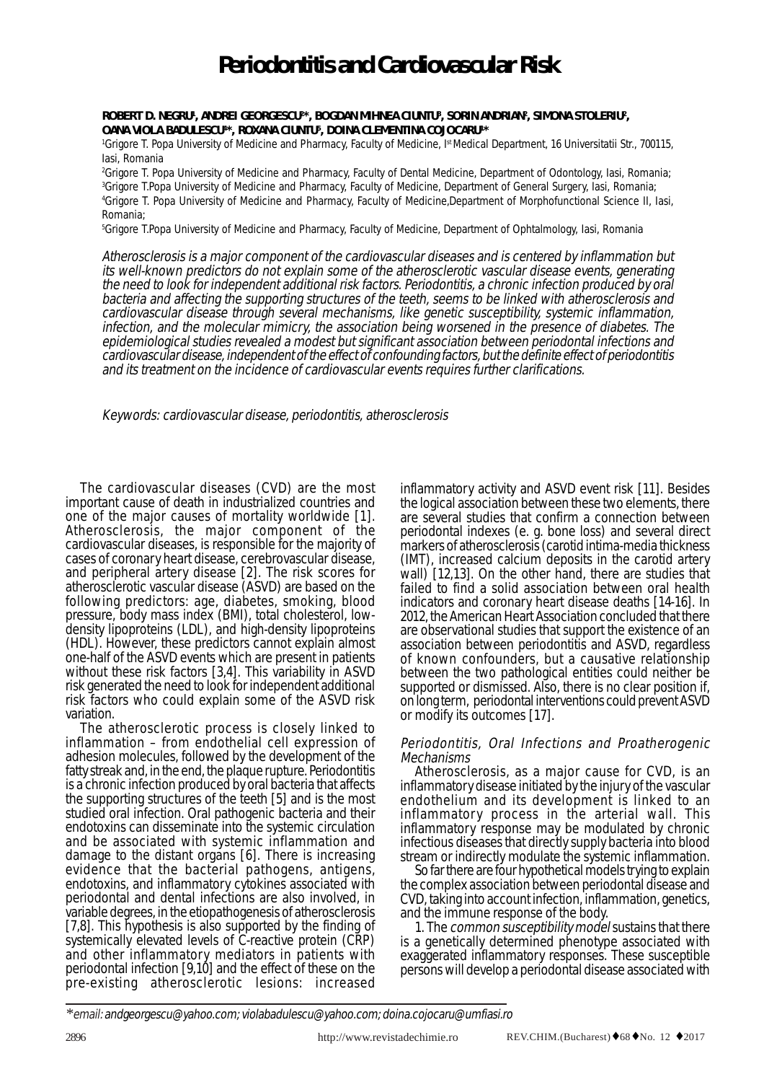# **Periodontitis and Cardiovascular Risk**

**ROBERT D. NEGRU1 , ANDREI GEORGESCU2 \*, BOGDAN MIHNEA CIUNTU3 , SORIN ANDRIAN2 , SIMONA STOLERIU2 , OANA VIOLA BADULESCU4 \*, ROXANA CIUNTU5 , DOINA CLEMENTINA COJOCARU1 \***

1 Grigore T. Popa University of Medicine and Pharmacy, Faculty of Medicine, Ist Medical Department, 16 Universitatii Str., 700115, Iasi, Romania

 Grigore T. Popa University of Medicine and Pharmacy, Faculty of Dental Medicine, Department of Odontology, Iasi, Romania; Grigore T.Popa University of Medicine and Pharmacy, Faculty of Medicine, Department of General Surgery, Iasi, Romania; Grigore T. Popa University of Medicine and Pharmacy, Faculty of Medicine,Department of Morphofunctional Science II, Iasi, Romania;

5 Grigore T.Popa University of Medicine and Pharmacy, Faculty of Medicine, Department of Ophtalmology, Iasi, Romania

Atherosclerosis is a major component of the cardiovascular diseases and is centered by inflammation but its well-known predictors do not explain some of the atherosclerotic vascular disease events, generating the need to look for independent additional risk factors. Periodontitis, a chronic infection produced by oral bacteria and affecting the supporting structures of the teeth, seems to be linked with atherosclerosis and cardiovascular disease through several mechanisms, like genetic susceptibility, systemic inflammation, infection, and the molecular mimicry, the association being worsened in the presence of diabetes. The epidemiological studies revealed a modest but significant association between periodontal infections and cardiovascular disease, independent of the effect of confounding factors, but the definite effect of periodontitis and its treatment on the incidence of cardiovascular events requires further clarifications.

Keywords: cardiovascular disease, periodontitis, atherosclerosis

The cardiovascular diseases (CVD) are the most important cause of death in industrialized countries and one of the major causes of mortality worldwide [1]. Atherosclerosis, the major component of the cardiovascular diseases, is responsible for the majority of cases of coronary heart disease, cerebrovascular disease, and peripheral artery disease [2]. The risk scores for atherosclerotic vascular disease (ASVD) are based on the following predictors: age, diabetes, smoking, blood pressure, body mass index (BMI), total cholesterol, lowdensity lipoproteins (LDL), and high-density lipoproteins (HDL). However, these predictors cannot explain almost one-half of the ASVD events which are present in patients without these risk factors [3,4]. This variability in ASVD risk generated the need to look for independent additional risk factors who could explain some of the ASVD risk variation.

The atherosclerotic process is closely linked to inflammation – from endothelial cell expression of adhesion molecules, followed by the development of the fatty streak and, in the end, the plaque rupture. Periodontitis is a chronic infection produced by oral bacteria that affects the supporting structures of the teeth [5] and is the most studied oral infection. Oral pathogenic bacteria and their endotoxins can disseminate into the systemic circulation and be associated with systemic inflammation and damage to the distant organs [6]. There is increasing evidence that the bacterial pathogens, antigens, endotoxins, and inflammatory cytokines associated with periodontal and dental infections are also involved, in variable degrees, in the etiopathogenesis of atherosclerosis [7,8]. This hypothesis is also supported by the finding of systemically elevated levels of C-reactive protein (CRP) and other inflammatory mediators in patients with periodontal infection [9,10] and the effect of these on the pre-existing atherosclerotic lesions: increased inflammatory activity and ASVD event risk [11]. Besides the logical association between these two elements, there are several studies that confirm a connection between periodontal indexes (e. g. bone loss) and several direct markers of atherosclerosis (carotid intima-media thickness (IMT), increased calcium deposits in the carotid artery wall) [12,13]. On the other hand, there are studies that failed to find a solid association between oral health indicators and coronary heart disease deaths [14-16]. In 2012, the American Heart Association concluded that there are observational studies that support the existence of an association between periodontitis and ASVD, regardless of known confounders, but a causative relationship between the two pathological entities could neither be supported or dismissed. Also, there is no clear position if, on long term, periodontal interventions could prevent ASVD or modify its outcomes [17].

## Periodontitis, Oral Infections and Proatherogenic Mechanisms

Atherosclerosis, as a major cause for CVD, is an inflammatory disease initiated by the injury of the vascular endothelium and its development is linked to an inflammatory process in the arterial wall. This inflammatory response may be modulated by chronic infectious diseases that directly supply bacteria into blood

So far there are four hypothetical models trying to explain the complex association between periodontal disease and CVD, taking into account infection, inflammation, genetics, and the immune response of the body.

1. The common susceptibility model sustains that there is a genetically determined phenotype associated with exaggerated inflammatory responses. These susceptible persons will develop a periodontal disease associated with

*<sup>\*</sup>*email: andgeorgescu@yahoo.com; violabadulescu@yahoo.com; doina.cojocaru@umfiasi.ro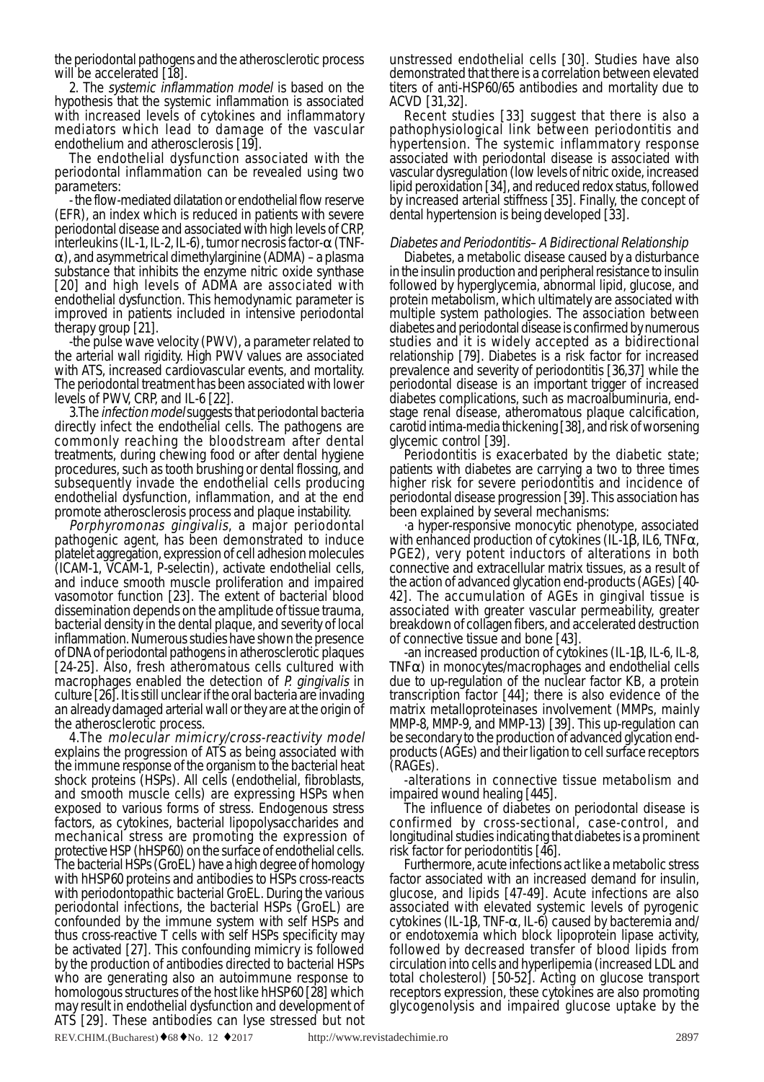the periodontal pathogens and the atherosclerotic process will be accelerated [18].

2. The systemic inflammation model is based on the hypothesis that the systemic inflammation is associated with increased levels of cytokines and inflammatory mediators which lead to damage of the vascular endothelium and atherosclerosis [19].

The endothelial dysfunction associated with the periodontal inflammation can be revealed using two parameters:

- the flow-mediated dilatation or endothelial flow reserve (EFR), an index which is reduced in patients with severe periodontal disease and associated with high levels of CRP, interleukins (IL-1, IL-2, IL-6), tumor necrosis factor- $\alpha$  (TNF- $\alpha$ ), and asymmetrical dimethylarginine (ADMA) – a plasma substance that inhibits the enzyme nitric oxide synthase [20] and high levels of ADMA are associated with endothelial dysfunction. This hemodynamic parameter is improved in patients included in intensive periodontal therapy group [21].

-the pulse wave velocity (PWV), a parameter related to the arterial wall rigidity. High PWV values are associated with ATS, increased cardiovascular events, and mortality. The periodontal treatment has been associated with lower levels of PWV, CRP, and IL-6 [22].

3.The infection model suggests that periodontal bacteria directly infect the endothelial cells. The pathogens are commonly reaching the bloodstream after dental treatments, during chewing food or after dental hygiene procedures, such as tooth brushing or dental flossing, and subsequently invade the endothelial cells producing endothelial dysfunction, inflammation, and at the end

promote atherosclerosis process and plaque instability.<br>Porphyromonas gingivalis, a major periodontal pathogenic agent, has been demonstrated to induce platelet aggregation, expression of cell adhesion molecules (ICAM-1, VCAM-1, P-selectin), activate endothelial cells, and induce smooth muscle proliferation and impaired vasomotor function [23]. The extent of bacterial blood dissemination depends on the amplitude of tissue trauma, bacterial density in the dental plaque, and severity of local inflammation. Numerous studies have shown the presence of DNA of periodontal pathogens in atherosclerotic plaques [24-25]. Also, fresh atheromatous cells cultured with macrophages enabled the detection of P. gingivalis in culture [26]. It is still unclear if the oral bacteria are invading an already damaged arterial wall or they are at the origin of the atherosclerotic process.

4.The molecular mimicry/cross-reactivity model explains the progression of ATS as being associated with the immune response of the organism to the bacterial heat shock proteins (HSPs). All cells (endothelial, fibroblasts, and smooth muscle cells) are expressing HSPs when exposed to various forms of stress. Endogenous stress factors, as cytokines, bacterial lipopolysaccharides and mechanical stress are promoting the expression of protective HSP (hHSP60) on the surface of endothelial cells. The bacterial HSPs (GroEL) have a high degree of homology with hHSP60 proteins and antibodies to HSPs cross-reacts with periodontopathic bacterial GroEL. During the various periodontal infections, the bacterial HSPs (GroEL) are confounded by the immune system with self HSPs and thus cross-reactive T cells with self HSPs specificity may be activated [27]. This confounding mimicry is followed by the production of antibodies directed to bacterial HSPs who are generating also an autoimmune response to homologous structures of the host like hHSP60 [28] which may result in endothelial dysfunction and development of ATS [29]. These antibodies can lyse stressed but not unstressed endothelial cells [30]. Studies have also demonstrated that there is a correlation between elevated titers of anti-HSP60/65 antibodies and mortality due to ACVD [31,32].

Recent studies [33] suggest that there is also a pathophysiological link between periodontitis and hypertension. The systemic inflammatory response associated with periodontal disease is associated with vascular dysregulation (low levels of nitric oxide, increased lipid peroxidation [34], and reduced redox status, followed by increased arterial stiffness [35]. Finally, the concept of dental hypertension is being developed [33].

### Diabetes and Periodontitis– A Bidirectional Relationship

Diabetes, a metabolic disease caused by a disturbance in the insulin production and peripheral resistance to insulin followed by hyperglycemia, abnormal lipid, glucose, and protein metabolism, which ultimately are associated with multiple system pathologies. The association between diabetes and periodontal disease is confirmed by numerous studies and it is widely accepted as a bidirectional relationship [79]. Diabetes is a risk factor for increased prevalence and severity of periodontitis [36,37] while the periodontal disease is an important trigger of increased diabetes complications, such as macroalbuminuria, endstage renal disease, atheromatous plaque calcification, carotid intima-media thickening [38], and risk of worsening

Periodontitis is exacerbated by the diabetic state; patients with diabetes are carrying a two to three times higher risk for severe periodontitis and incidence of periodontal disease progression [39]. This association has

been explained by several mechanisms:<br>a hyper-responsive monocytic phenotype, associated with enhanced production of cytokines (IL-1β, IL6, TNFα, PGE2), very potent inductors of alterations in both connective and extracellular matrix tissues, as a result of the action of advanced glycation end-products (AGEs) [40- 42]. The accumulation of AGEs in gingival tissue is associated with greater vascular permeability, greater breakdown of collagen fibers, and accelerated destruction of connective tissue and bone [43].

-an increased production of cytokines (IL-1β, IL-6, IL-8, TNFα) in monocytes/macrophages and endothelial cells due to up-regulation of the nuclear factor KB, a protein transcription factor [44]; there is also evidence of the matrix metalloproteinases involvement (MMPs, mainly MMP-8, MMP-9, and MMP-13) [39]. This up-regulation can be secondary to the production of advanced glycation endproducts (AGEs) and their ligation to cell surface receptors (RAGEs).

-alterations in connective tissue metabolism and impaired wound healing [445].

The influence of diabetes on periodontal disease is confirmed by cross-sectional, case-control, and longitudinal studies indicating that diabetes is a prominent risk factor for periodontitis [46].

Furthermore, acute infections act like a metabolic stress factor associated with an increased demand for insulin, glucose, and lipids [47-49]. Acute infections are also associated with elevated systemic levels of pyrogenic cytokines (IL-1β, TNF-α, IL-6) caused by bacteremia and/ or endotoxemia which block lipoprotein lipase activity, followed by decreased transfer of blood lipids from circulation into cells and hyperlipemia (increased LDL and total cholesterol) [50-52]. Acting on glucose transport receptors expression, these cytokines are also promoting glycogenolysis and impaired glucose uptake by the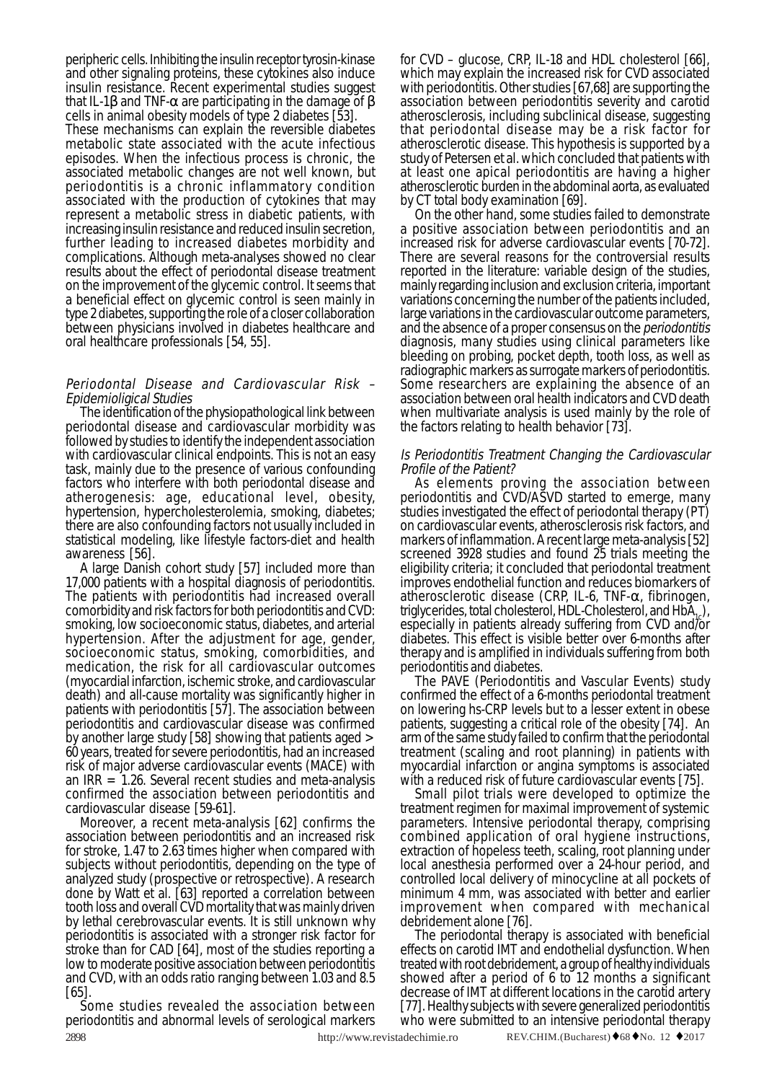peripheric cells. Inhibiting the insulin receptor tyrosin-kinase and other signaling proteins, these cytokines also induce insulin resistance. Recent experimental studies suggest that IL-1β and TNF- $\alpha$  are participating in the damage of β cells in animal obesity models of type 2 diabetes [53].

These mechanisms can explain the reversible diabetes metabolic state associated with the acute infectious episodes. When the infectious process is chronic, the associated metabolic changes are not well known, but periodontitis is a chronic inflammatory condition associated with the production of cytokines that may represent a metabolic stress in diabetic patients, with increasing insulin resistance and reduced insulin secretion, further leading to increased diabetes morbidity and complications. Although meta-analyses showed no clear results about the effect of periodontal disease treatment on the improvement of the glycemic control. It seems that a beneficial effect on glycemic control is seen mainly in type 2 diabetes, supporting the role of a closer collaboration between physicians involved in diabetes healthcare and oral healthcare professionals [54, 55].

# Periodontal Disease and Cardiovascular Risk –

Epidemioligical Studies The identification of the physiopathological link between periodontal disease and cardiovascular morbidity was followed by studies to identify the independent association with cardiovascular clinical endpoints. This is not an easy task, mainly due to the presence of various confounding factors who interfere with both periodontal disease and atherogenesis: age, educational level, obesity, hypertension, hypercholesterolemia, smoking, diabetes; there are also confounding factors not usually included in statistical modeling, like lifestyle factors-diet and health awareness [56].

A large Danish cohort study [57] included more than 17,000 patients with a hospital diagnosis of periodontitis. The patients with periodontitis had increased overall comorbidity and risk factors for both periodontitis and CVD: smoking, low socioeconomic status, diabetes, and arterial hypertension. After the adjustment for age, gender, socioeconomic status, smoking, comorbidities, and medication, the risk for all cardiovascular outcomes (myocardial infarction, ischemic stroke, and cardiovascular death) and all-cause mortality was significantly higher in patients with periodontitis [57]. The association between periodontitis and cardiovascular disease was confirmed by another large study [58] showing that patients aged > 60 years, treated for severe periodontitis, had an increased risk of major adverse cardiovascular events (MACE) with an  $\text{IRR} = 1.26$ . Several recent studies and meta-analysis confirmed the association between periodontitis and cardiovascular disease [59-61].

Moreover, a recent meta-analysis [62] confirms the association between periodontitis and an increased risk for stroke, 1.47 to 2.63 times higher when compared with subjects without periodontitis, depending on the type of analyzed study (prospective or retrospective). A research done by Watt et al. [63] reported a correlation between tooth loss and overall CVD mortality that was mainly driven by lethal cerebrovascular events. It is still unknown why periodontitis is associated with a stronger risk factor for stroke than for CAD [64], most of the studies reporting a low to moderate positive association between periodontitis and CVD, with an odds ratio ranging between 1.03 and 8.5 [65].

2898 http://www.revistadechimie.ro REV.CHIM.(Bucharest)♦68♦No. 12 ♦2017 Some studies revealed the association between periodontitis and abnormal levels of serological markers

for CVD – glucose, CRP, IL-18 and HDL cholesterol [66], which may explain the increased risk for CVD associated with periodontitis. Other studies [67,68] are supporting the association between periodontitis severity and carotid atherosclerosis, including subclinical disease, suggesting that periodontal disease may be a risk factor for atherosclerotic disease. This hypothesis is supported by a study of Petersen et al. which concluded that patients with at least one apical periodontitis are having a higher atherosclerotic burden in the abdominal aorta, as evaluated by CT total body examination [69].

On the other hand, some studies failed to demonstrate a positive association between periodontitis and an increased risk for adverse cardiovascular events [70-72]. There are several reasons for the controversial results reported in the literature: variable design of the studies, mainly regarding inclusion and exclusion criteria, important variations concerning the number of the patients included, large variations in the cardiovascular outcome parameters, and the absence of a proper consensus on the periodontitis diagnosis, many studies using clinical parameters like bleeding on probing, pocket depth, tooth loss, as well as radiographic markers as surrogate markers of periodontitis. Some researchers are explaining the absence of an association between oral health indicators and CVD death when multivariate analysis is used mainly by the role of the factors relating to health behavior [73].

## Is Periodontitis Treatment Changing the Cardiovascular Profile of the Patient?

As elements proving the association between periodontitis and CVD/ASVD started to emerge, many studies investigated the effect of periodontal therapy (PT) on cardiovascular events, atherosclerosis risk factors, and markers of inflammation. A recent large meta-analysis [52] screened 3928 studies and found 25 trials meeting the eligibility criteria; it concluded that periodontal treatment improves endothelial function and reduces biomarkers of atherosclerotic disease (CRP, IL-6, TNF- $\alpha$ , fibrinogen, triglycerides, total cholesterol, HDL-Cholesterol, and  $H\ddot{b}A$ <sub>1</sub>, especially in patients already suffering from CVD and/or diabetes. This effect is visible better over 6-months after therapy and is amplified in individuals suffering from both

periodontitis and diabetes.<br>The PAVE (Periodontitis and Vascular Events) study confirmed the effect of a 6-months periodontal treatment on lowering hs-CRP levels but to a lesser extent in obese patients, suggesting a critical role of the obesity [74]. An arm of the same study failed to confirm that the periodontal treatment (scaling and root planning) in patients with myocardial infarction or angina symptoms is associated with a reduced risk of future cardiovascular events [75].

Small pilot trials were developed to optimize the treatment regimen for maximal improvement of systemic parameters. Intensive periodontal therapy, comprising combined application of oral hygiene instructions, extraction of hopeless teeth, scaling, root planning under local anesthesia performed over a 24-hour period, and controlled local delivery of minocycline at all pockets of minimum 4 mm, was associated with better and earlier improvement when compared with mechanical

debridement alone [76].<br>The periodontal therapy is associated with beneficial effects on carotid IMT and endothelial dysfunction. When treated with root debridement, a group of healthy individuals showed after a period of 6 to 12 months a significant decrease of IMT at different locations in the carotid artery [77]. Healthy subjects with severe generalized periodontitis who were submitted to an intensive periodontal therapy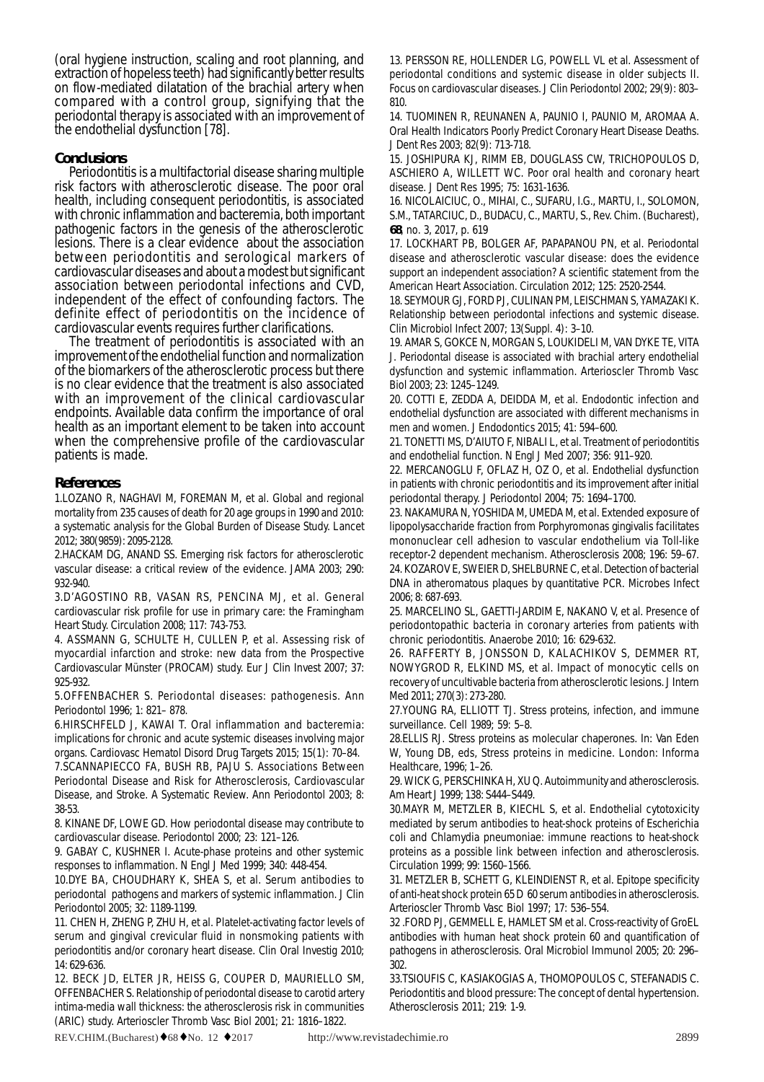(oral hygiene instruction, scaling and root planning, and extraction of hopeless teeth) had significantly better results on flow-mediated dilatation of the brachial artery when compared with a control group, signifying that the periodontal therapy is associated with an improvement of the endothelial dysfunction [78].

### **Conclusions**

Periodontitis is a multifactorial disease sharing multiple risk factors with atherosclerotic disease. The poor oral health, including consequent periodontitis, is associated with chronic inflammation and bacteremia, both important pathogenic factors in the genesis of the atherosclerotic lesions. There is a clear evidence about the association between periodontitis and serological markers of cardiovascular diseases and about a modest but significant association between periodontal infections and CVD, independent of the effect of confounding factors. The definite effect of periodontitis on the incidence of cardiovascular events requires further clarifications.

The treatment of periodontitis is associated with an improvement of the endothelial function and normalization of the biomarkers of the atherosclerotic process but there is no clear evidence that the treatment is also associated with an improvement of the clinical cardiovascular endpoints. Available data confirm the importance of oral health as an important element to be taken into account when the comprehensive profile of the cardiovascular patients is made.

#### **References**

1.LOZANO R, NAGHAVI M, FOREMAN M, et al. Global and regional mortality from 235 causes of death for 20 age groups in 1990 and 2010: a systematic analysis for the Global Burden of Disease Study. Lancet 2012; 380(9859): 2095-2128.

2.HACKAM DG, ANAND SS. Emerging risk factors for atherosclerotic vascular disease: a critical review of the evidence. JAMA 2003; 290: 932-940.

3.D'AGOSTINO RB, VASAN RS, PENCINA MJ, et al. General cardiovascular risk profile for use in primary care: the Framingham Heart Study. Circulation 2008; 117: 743-753.

4. ASSMANN G, SCHULTE H, CULLEN P, et al. Assessing risk of myocardial infarction and stroke: new data from the Prospective Cardiovascular Münster (PROCAM) study. Eur J Clin Invest 2007; 37: 925-932.

5.OFFENBACHER S. Periodontal diseases: pathogenesis. Ann Periodontol 1996; 1: 821– 878.

6.HIRSCHFELD J, KAWAI T. Oral inflammation and bacteremia: implications for chronic and acute systemic diseases involving major organs. Cardiovasc Hematol Disord Drug Targets 2015; 15(1): 70–84.

7.SCANNAPIECCO FA, BUSH RB, PAJU S. Associations Between Periodontal Disease and Risk for Atherosclerosis, Cardiovascular Disease, and Stroke. A Systematic Review. Ann Periodontol 2003; 8: 38-53.

8. KINANE DF, LOWE GD. How periodontal disease may contribute to cardiovascular disease. Periodontol 2000; 23: 121–126.

9. GABAY C, KUSHNER I. Acute-phase proteins and other systemic responses to inflammation. N Engl J Med 1999; 340: 448-454.

10.DYE BA, CHOUDHARY K, SHEA S, et al. Serum antibodies to periodontal pathogens and markers of systemic inflammation. J Clin Periodontol 2005; 32: 1189-1199.

11. CHEN H, ZHENG P, ZHU H, et al. Platelet-activating factor levels of serum and gingival crevicular fluid in nonsmoking patients with periodontitis and/or coronary heart disease. Clin Oral Investig 2010; 14: 629-636.

12. BECK JD, ELTER JR, HEISS G, COUPER D, MAURIELLO SM, OFFENBACHER S. Relationship of periodontal disease to carotid artery intima-media wall thickness: the atherosclerosis risk in communities (ARIC) study. Arterioscler Thromb Vasc Biol 2001; 21: 1816–1822.

13. PERSSON RE, HOLLENDER LG, POWELL VL et al. Assessment of periodontal conditions and systemic disease in older subjects II. Focus on cardiovascular diseases. J Clin Periodontol 2002; 29(9): 803– 810.

14. TUOMINEN R, REUNANEN A, PAUNIO I, PAUNIO M, AROMAA A. Oral Health Indicators Poorly Predict Coronary Heart Disease Deaths. J Dent Res 2003; 82(9): 713-718.

15. JOSHIPURA KJ, RIMM EB, DOUGLASS CW, TRICHOPOULOS D, ASCHIERO A, WILLETT WC. Poor oral health and coronary heart disease. J Dent Res 1995; 75: 1631-1636.

16. NICOLAICIUC, O., MIHAI, C., SUFARU, I.G., MARTU, I., SOLOMON, S.M., TATARCIUC, D., BUDACU, C., MARTU, S., Rev. Chim. (Bucharest), **68**, no. 3, 2017, p. 619

17. LOCKHART PB, BOLGER AF, PAPAPANOU PN, et al. Periodontal disease and atherosclerotic vascular disease: does the evidence support an independent association? A scientific statement from the American Heart Association. Circulation 2012; 125: 2520-2544.

18. SEYMOUR GJ, FORD PJ, CULINAN PM, LEISCHMAN S, YAMAZAKI K. Relationship between periodontal infections and systemic disease. Clin Microbiol Infect 2007; 13(Suppl. 4): 3–10.

19. AMAR S, GOKCE N, MORGAN S, LOUKIDELI M, VAN DYKE TE, VITA J. Periodontal disease is associated with brachial artery endothelial dysfunction and systemic inflammation. Arterioscler Thromb Vasc Biol 2003; 23: 1245–1249.

20. COTTI E, ZEDDA A, DEIDDA M, et al. Endodontic infection and endothelial dysfunction are associated with different mechanisms in men and women. J Endodontics 2015; 41: 594–600.

21. TONETTI MS, D'AIUTO F, NIBALI L, et al. Treatment of periodontitis and endothelial function. N Engl J Med 2007; 356: 911–920.

22. MERCANOGLU F, OFLAZ H, OZ O, et al. Endothelial dysfunction in patients with chronic periodontitis and its improvement after initial periodontal therapy. J Periodontol 2004; 75: 1694–1700.

23. NAKAMURA N, YOSHIDA M, UMEDA M, et al. Extended exposure of lipopolysaccharide fraction from Porphyromonas gingivalis facilitates mononuclear cell adhesion to vascular endothelium via Toll-like receptor-2 dependent mechanism. Atherosclerosis 2008; 196: 59–67. 24. KOZAROV E, SWEIER D, SHELBURNE C, et al. Detection of bacterial DNA in atheromatous plaques by quantitative PCR. Microbes Infect 2006; 8: 687-693.

25. MARCELINO SL, GAETTI-JARDIM E, NAKANO V, et al. Presence of periodontopathic bacteria in coronary arteries from patients with chronic periodontitis. Anaerobe 2010; 16: 629-632.

26. RAFFERTY B, JONSSON D, KALACHIKOV S, DEMMER RT, NOWYGROD R, ELKIND MS, et al. Impact of monocytic cells on recovery of uncultivable bacteria from atherosclerotic lesions. J Intern Med 2011; 270(3): 273-280.

27.YOUNG RA, ELLIOTT TJ. Stress proteins, infection, and immune surveillance. Cell 1989; 59: 5–8.

28.ELLIS RJ. Stress proteins as molecular chaperones. In: Van Eden W, Young DB, eds, Stress proteins in medicine. London: Informa Healthcare, 1996; 1–26.

29. WICK G, PERSCHINKA H, XU Q. Autoimmunity and atherosclerosis. Am Heart J 1999; 138: S444–S449.

30.MAYR M, METZLER B, KIECHL S, et al. Endothelial cytotoxicity mediated by serum antibodies to heat-shock proteins of Escherichia coli and Chlamydia pneumoniae: immune reactions to heat-shock proteins as a possible link between infection and atherosclerosis. Circulation 1999; 99: 1560–1566.

31. METZLER B, SCHETT G, KLEINDIENST R, et al. Epitope specificity of anti-heat shock protein 65 D 60 serum antibodies in atherosclerosis. Arterioscler Thromb Vasc Biol 1997; 17: 536–554.

32 .FORD PJ, GEMMELL E, HAMLET SM et al. Cross-reactivity of GroEL antibodies with human heat shock protein 60 and quantification of pathogens in atherosclerosis. Oral Microbiol Immunol 2005; 20: 296– 302.

33.TSIOUFIS C, KASIAKOGIAS A, THOMOPOULOS C, STEFANADIS C. Periodontitis and blood pressure: The concept of dental hypertension. Atherosclerosis 2011; 219: 1-9.

REV.CHIM.(Bucharest) ♦68 ♦ No. 12 ♦ 2017 http://www.revistadechimie.ro 2899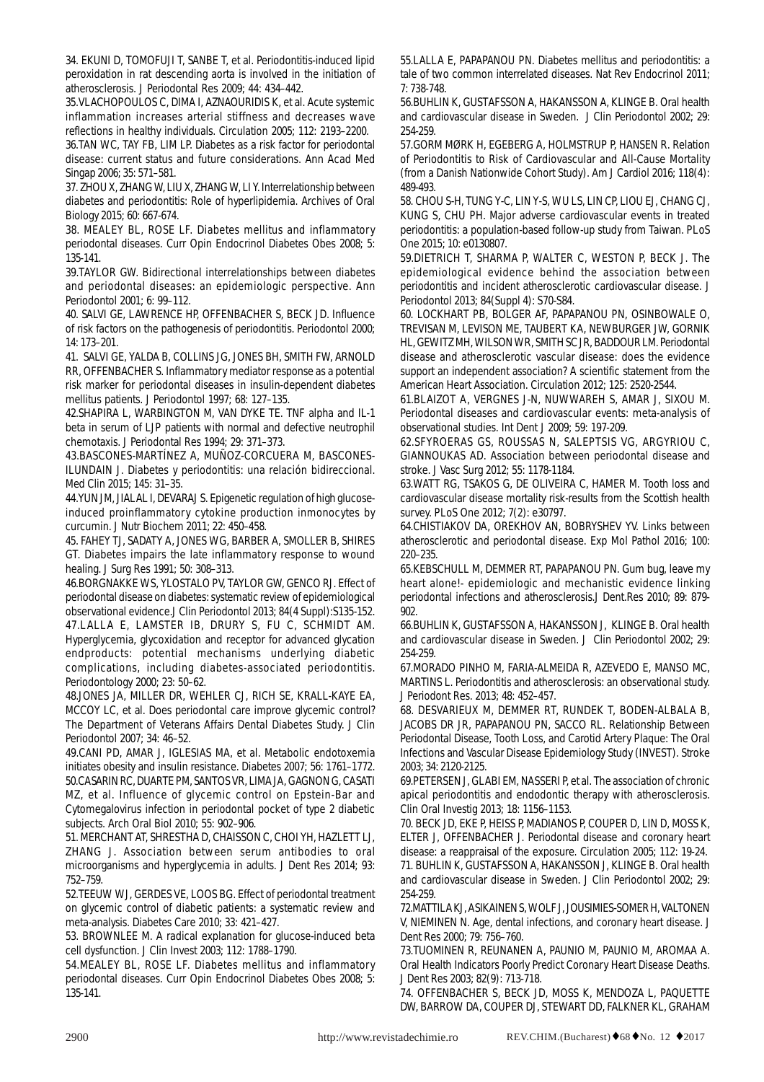34. EKUNI D, TOMOFUJI T, SANBE T, et al. Periodontitis-induced lipid peroxidation in rat descending aorta is involved in the initiation of atherosclerosis. J Periodontal Res 2009; 44: 434–442.

35.VLACHOPOULOS C, DIMA I, AZNAOURIDIS K, et al. Acute systemic inflammation increases arterial stiffness and decreases wave reflections in healthy individuals. Circulation 2005; 112: 2193–2200.

36.TAN WC, TAY FB, LIM LP. Diabetes as a risk factor for periodontal disease: current status and future considerations. Ann Acad Med Singap 2006; 35: 571–581.

37. ZHOU X, ZHANG W, LIU X, ZHANG W, LI Y. Interrelationship between diabetes and periodontitis: Role of hyperlipidemia. Archives of Oral Biology 2015; 60: 667-674.

38. MEALEY BL, ROSE LF. Diabetes mellitus and inflammatory periodontal diseases. Curr Opin Endocrinol Diabetes Obes 2008; 5: 135-141.

39.TAYLOR GW. Bidirectional interrelationships between diabetes and periodontal diseases: an epidemiologic perspective. Ann Periodontol 2001; 6: 99–112.

40. SALVI GE, LAWRENCE HP, OFFENBACHER S, BECK JD. Influence of risk factors on the pathogenesis of periodontitis. Periodontol 2000; 14: 173–201.

41. SALVI GE, YALDA B, COLLINS JG, JONES BH, SMITH FW, ARNOLD RR, OFFENBACHER S. Inflammatory mediator response as a potential risk marker for periodontal diseases in insulin-dependent diabetes mellitus patients. J Periodontol 1997; 68: 127–135.

42.SHAPIRA L, WARBINGTON M, VAN DYKE TE. TNF alpha and IL-1 beta in serum of LJP patients with normal and defective neutrophil chemotaxis. J Periodontal Res 1994; 29: 371–373.

43.BASCONES-MARTÍNEZ A, MUÑOZ-CORCUERA M, BASCONES-ILUNDAIN J. Diabetes y periodontitis: una relación bidireccional. Med Clin 2015; 145: 31–35.

44.YUN JM, JIALAL I, DEVARAJ S. Epigenetic regulation of high glucoseinduced proinflammatory cytokine production inmonocytes by curcumin. J Nutr Biochem 2011; 22: 450–458.

45. FAHEY TJ, SADATY A, JONES WG, BARBER A, SMOLLER B, SHIRES GT. Diabetes impairs the late inflammatory response to wound healing. J Surg Res 1991; 50: 308–313.

46.BORGNAKKE WS, YLOSTALO PV, TAYLOR GW, GENCO RJ. Effect of periodontal disease on diabetes: systematic review of epidemiological observational evidence.J Clin Periodontol 2013; 84(4 Suppl):S135-152.

47.LALLA E, LAMSTER IB, DRURY S, FU C, SCHMIDT AM. Hyperglycemia, glycoxidation and receptor for advanced glycation endproducts: potential mechanisms underlying diabetic complications, including diabetes-associated periodontitis. Periodontology 2000; 23: 50–62.

48.JONES JA, MILLER DR, WEHLER CJ, RICH SE, KRALL-KAYE EA, MCCOY LC, et al. Does periodontal care improve glycemic control? The Department of Veterans Affairs Dental Diabetes Study. J Clin Periodontol 2007; 34: 46–52.

49.CANI PD, AMAR J, IGLESIAS MA, et al. Metabolic endotoxemia initiates obesity and insulin resistance. Diabetes 2007; 56: 1761–1772. 50.CASARIN RC, DUARTE PM, SANTOS VR, LIMA JA, GAGNON G, CASATI MZ, et al. Influence of glycemic control on Epstein-Bar and Cytomegalovirus infection in periodontal pocket of type 2 diabetic subjects. Arch Oral Biol 2010; 55: 902–906.

51. MERCHANT AT, SHRESTHA D, CHAISSON C, CHOI YH, HAZLETT LJ, ZHANG J. Association between serum antibodies to oral microorganisms and hyperglycemia in adults. J Dent Res 2014; 93: 752–759.

52.TEEUW WJ, GERDES VE, LOOS BG. Effect of periodontal treatment on glycemic control of diabetic patients: a systematic review and meta-analysis. Diabetes Care 2010; 33: 421–427.

53. BROWNLEE M. A radical explanation for glucose-induced beta cell dysfunction. J Clin Invest 2003; 112: 1788–1790.

54.MEALEY BL, ROSE LF. Diabetes mellitus and inflammatory periodontal diseases. Curr Opin Endocrinol Diabetes Obes 2008; 5: 135-141.

55.LALLA E, PAPAPANOU PN. Diabetes mellitus and periodontitis: a tale of two common interrelated diseases. Nat Rev Endocrinol 2011; 7: 738-748.

56.BUHLIN K, GUSTAFSSON A, HAKANSSON A, KLINGE B. Oral health and cardiovascular disease in Sweden. J Clin Periodontol 2002; 29: 254-259.

57.GORM MØRK H, EGEBERG A, HOLMSTRUP P, HANSEN R. Relation of Periodontitis to Risk of Cardiovascular and All-Cause Mortality (from a Danish Nationwide Cohort Study). Am J Cardiol 2016; 118(4): 489-493.

58. CHOU S-H, TUNG Y-C, LIN Y-S, WU LS, LIN CP, LIOU EJ, CHANG CJ, KUNG S, CHU PH. Major adverse cardiovascular events in treated periodontitis: a population-based follow-up study from Taiwan. PLoS One 2015; 10: e0130807.

59.DIETRICH T, SHARMA P, WALTER C, WESTON P, BECK J. The epidemiological evidence behind the association between periodontitis and incident atherosclerotic cardiovascular disease. J Periodontol 2013; 84(Suppl 4): S70-S84.

60. LOCKHART PB, BOLGER AF, PAPAPANOU PN, OSINBOWALE O, TREVISAN M, LEVISON ME, TAUBERT KA, NEWBURGER JW, GORNIK HL, GEWITZ MH, WILSON WR, SMITH SC JR, BADDOUR LM. Periodontal disease and atherosclerotic vascular disease: does the evidence support an independent association? A scientific statement from the American Heart Association. Circulation 2012; 125: 2520-2544.

61.BLAIZOT A, VERGNES J-N, NUWWAREH S, AMAR J, SIXOU M. Periodontal diseases and cardiovascular events: meta-analysis of observational studies. Int Dent J 2009; 59: 197-209.

62.SFYROERAS GS, ROUSSAS N, SALEPTSIS VG, ARGYRIOU C, GIANNOUKAS AD. Association between periodontal disease and stroke. J Vasc Surg 2012; 55: 1178-1184.

63.WATT RG, TSAKOS G, DE OLIVEIRA C, HAMER M. Tooth loss and cardiovascular disease mortality risk-results from the Scottish health survey. PLoS One 2012; 7(2): e30797.

64.CHISTIAKOV DA, OREKHOV AN, BOBRYSHEV YV. Links between atherosclerotic and periodontal disease. Exp Mol Pathol 2016; 100: 220–235.

65.KEBSCHULL M, DEMMER RT, PAPAPANOU PN. Gum bug, leave my heart alone!- epidemiologic and mechanistic evidence linking periodontal infections and atherosclerosis.J Dent.Res 2010; 89: 879- 902.

66.BUHLIN K, GUSTAFSSON A, HAKANSSON J, KLINGE B. Oral health and cardiovascular disease in Sweden. J Clin Periodontol 2002; 29: 254-259.

67.MORADO PINHO M, FARIA-ALMEIDA R, AZEVEDO E, MANSO MC, MARTINS L. Periodontitis and atherosclerosis: an observational study. J Periodont Res. 2013; 48: 452–457.

68. DESVARIEUX M, DEMMER RT, RUNDEK T, BODEN-ALBALA B, JACOBS DR JR, PAPAPANOU PN, SACCO RL. Relationship Between Periodontal Disease, Tooth Loss, and Carotid Artery Plaque: The Oral Infections and Vascular Disease Epidemiology Study (INVEST). Stroke 2003; 34: 2120-2125.

69.PETERSEN J, GLABI EM, NASSERI P, et al. The association of chronic apical periodontitis and endodontic therapy with atherosclerosis. Clin Oral Investig 2013; 18: 1156–1153.

70. BECK JD, EKE P, HEISS P, MADIANOS P, COUPER D, LIN D, MOSS K, ELTER J, OFFENBACHER J. Periodontal disease and coronary heart disease: a reappraisal of the exposure. Circulation 2005; 112: 19-24. 71. BUHLIN K, GUSTAFSSON A, HAKANSSON J, KLINGE B. Oral health and cardiovascular disease in Sweden. J Clin Periodontol 2002; 29: 254-259.

72.MATTILA KJ, ASIKAINEN S, WOLF J, JOUSIMIES-SOMER H, VALTONEN V, NIEMINEN N. Age, dental infections, and coronary heart disease. J Dent Res 2000; 79: 756–760.

73.TUOMINEN R, REUNANEN A, PAUNIO M, PAUNIO M, AROMAA A. Oral Health Indicators Poorly Predict Coronary Heart Disease Deaths. J Dent Res 2003; 82(9): 713-718.

74. OFFENBACHER S, BECK JD, MOSS K, MENDOZA L, PAQUETTE DW, BARROW DA, COUPER DJ, STEWART DD, FALKNER KL, GRAHAM